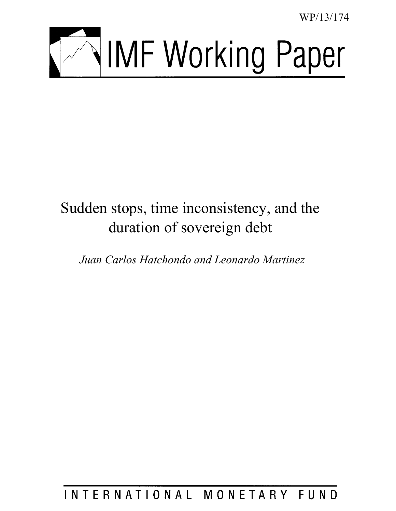WP/13/174



# Sudden stops, time inconsistency, and the duration of sovereign debt

*Juan Carlos Hatchondo and Leonardo Martinez* 

INTERNATIONAL MONETARY FUND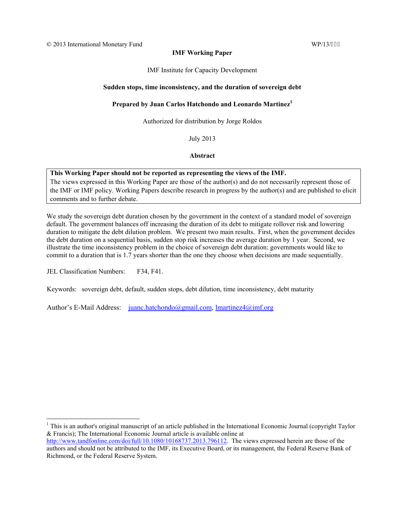# **IMF Working Paper**

IMF Institute for Capacity Development

# **Sudden stops, time inconsistency, and the duration of sovereign debt**

# **Prepared by Juan Carlos Hatchondo and Leonardo Martinez1**

Authorized for distribution by Jorge Roldos

July 2013

**Abstract**

# **This Working Paper should not be reported as representing the views of the IMF.**

The views expressed in this Working Paper are those of the author(s) and do not necessarily represent those of the IMF or IMF policy. Working Papers describe research in progress by the author(s) and are published to elicit comments and to further debate.

We study the sovereign debt duration chosen by the government in the context of a standard model of sovereign default. The government balances off increasing the duration of its debt to mitigate rollover risk and lowering duration to mitigate the debt dilution problem. We present two main results. First, when the government decides the debt duration on a sequential basis, sudden stop risk increases the average duration by 1 year. Second, we illustrate the time inconsistency problem in the choice of sovereign debt duration: governments would like to commit to a duration that is 1.7 years shorter than the one they choose when decisions are made sequentially.

JEL Classification Numbers: F34, F41.

 $\overline{a}$ 

Keywords: sovereign debt, default, sudden stops, debt dilution, time inconsistency, debt maturity

Author's E-Mail Address: juanc.hatchondo@gmail.com, lmartinez4@imf.org

<sup>&</sup>lt;sup>1</sup> This is an author's original manuscript of an article published in the International Economic Journal (copyright Taylor & Francis); The International Economic Journal article is available online at

http://www.tandfonline.com/doi/full/10.1080/10168737.2013.796112. The views expressed herein are those of the authors and should not be attributed to the IMF, its Executive Board, or its management, the Federal Reserve Bank of Richmond, or the Federal Reserve System.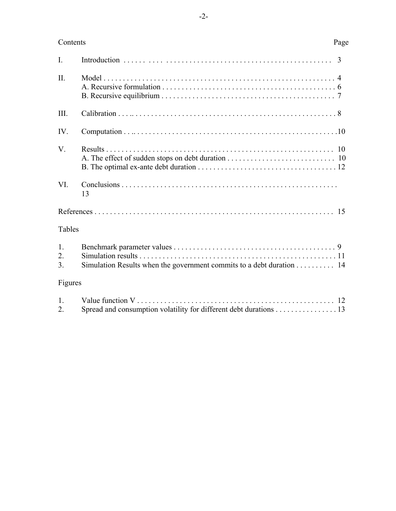# Contents Page

| $\mathbf{I}$ .             |                                                                                         |  |  |  |
|----------------------------|-----------------------------------------------------------------------------------------|--|--|--|
| $\Pi$ .                    |                                                                                         |  |  |  |
| III.                       |                                                                                         |  |  |  |
| IV.                        |                                                                                         |  |  |  |
| V.                         |                                                                                         |  |  |  |
| VI.                        | 13                                                                                      |  |  |  |
|                            |                                                                                         |  |  |  |
| Tables                     |                                                                                         |  |  |  |
| 1.<br>2.<br>3 <sub>1</sub> | Simulation Results when the government commits to a debt duration 14                    |  |  |  |
| Figures                    |                                                                                         |  |  |  |
| 1.<br>2.                   | Value function $V$<br>Spread and consumption volatility for different debt durations 13 |  |  |  |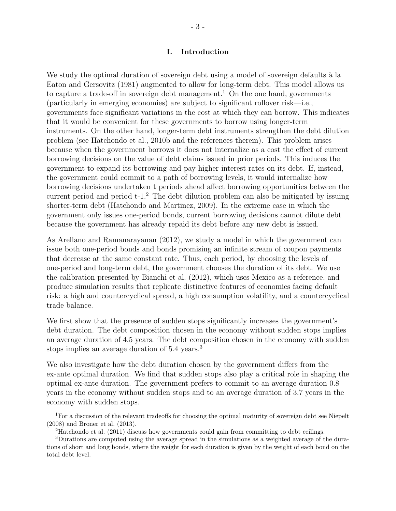# **I. Introduction**

We study the optimal duration of sovereign debt using a model of sovereign defaults à la Eaton and Gersovitz (1981) augmented to allow for long-term debt. This model allows us to capture a trade-off in sovereign debt management.<sup>1</sup> On the one hand, governments (particularly in emerging economies) are subject to significant rollover risk—i.e., governments face significant variations in the cost at which they can borrow. This indicates that it would be convenient for these governments to borrow using longer-term instruments. On the other hand, longer-term debt instruments strengthen the debt dilution problem (see Hatchondo et al., 2010b and the references therein). This problem arises because when the government borrows it does not internalize as a cost the effect of current borrowing decisions on the value of debt claims issued in prior periods. This induces the government to expand its borrowing and pay higher interest rates on its debt. If, instead, the government could commit to a path of borrowing levels, it would internalize how borrowing decisions undertaken t periods ahead affect borrowing opportunities between the current period and period  $t-1<sup>2</sup>$ . The debt dilution problem can also be mitigated by issuing shorter-term debt (Hatchondo and Martinez, 2009). In the extreme case in which the government only issues one-period bonds, current borrowing decisions cannot dilute debt because the government has already repaid its debt before any new debt is issued.

As Arellano and Ramanarayanan (2012), we study a model in which the government can issue both one-period bonds and bonds promising an infinite stream of coupon payments that decrease at the same constant rate. Thus, each period, by choosing the levels of one-period and long-term debt, the government chooses the duration of its debt. We use the calibration presented by Bianchi et al. (2012), which uses Mexico as a reference, and produce simulation results that replicate distinctive features of economies facing default risk: a high and countercyclical spread, a high consumption volatility, and a countercyclical trade balance.

We first show that the presence of sudden stops significantly increases the government's debt duration. The debt composition chosen in the economy without sudden stops implies an average duration of 4.5 years. The debt composition chosen in the economy with sudden stops implies an average duration of 5.4 years.<sup>3</sup>

We also investigate how the debt duration chosen by the government differs from the ex-ante optimal duration. We find that sudden stops also play a critical role in shaping the optimal ex-ante duration. The government prefers to commit to an average duration 0.8 years in the economy without sudden stops and to an average duration of 3.7 years in the economy with sudden stops.

<sup>&</sup>lt;sup>1</sup>For a discussion of the relevant tradeoffs for choosing the optimal maturity of sovereign debt see Niepelt (2008) and Broner et al. (2013).

<sup>2</sup>Hatchondo et al. (2011) discuss how governments could gain from committing to debt ceilings.

<sup>3</sup>Durations are computed using the average spread in the simulations as a weighted average of the durations of short and long bonds, where the weight for each duration is given by the weight of each bond on the total debt level.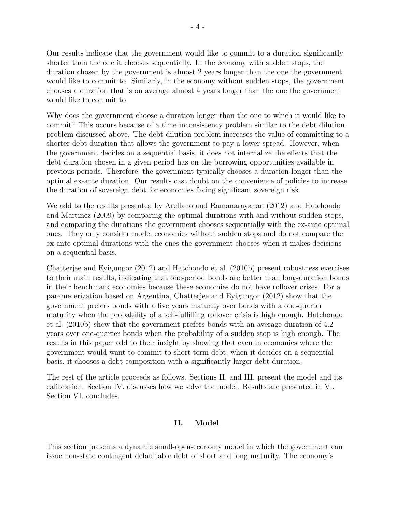Our results indicate that the government would like to commit to a duration significantly shorter than the one it chooses sequentially. In the economy with sudden stops, the duration chosen by the government is almost 2 years longer than the one the government would like to commit to. Similarly, in the economy without sudden stops, the government chooses a duration that is on average almost 4 years longer than the one the government would like to commit to.

Why does the government choose a duration longer than the one to which it would like to commit? This occurs because of a time inconsistency problem similar to the debt dilution problem discussed above. The debt dilution problem increases the value of committing to a shorter debt duration that allows the government to pay a lower spread. However, when the government decides on a sequential basis, it does not internalize the effects that the debt duration chosen in a given period has on the borrowing opportunities available in previous periods. Therefore, the government typically chooses a duration longer than the optimal ex-ante duration. Our results cast doubt on the convenience of policies to increase the duration of sovereign debt for economies facing significant sovereign risk.

We add to the results presented by Arellano and Ramanarayanan (2012) and Hatchondo and Martinez (2009) by comparing the optimal durations with and without sudden stops, and comparing the durations the government chooses sequentially with the ex-ante optimal ones. They only consider model economies without sudden stops and do not compare the ex-ante optimal durations with the ones the government chooses when it makes decisions on a sequential basis.

Chatterjee and Eyigungor (2012) and Hatchondo et al. (2010b) present robustness exercises to their main results, indicating that one-period bonds are better than long-duration bonds in their benchmark economies because these economies do not have rollover crises. For a parameterization based on Argentina, Chatterjee and Eyigungor (2012) show that the government prefers bonds with a five years maturity over bonds with a one-quarter maturity when the probability of a self-fulfilling rollover crisis is high enough. Hatchondo et al. (2010b) show that the government prefers bonds with an average duration of 4.2 years over one-quarter bonds when the probability of a sudden stop is high enough. The results in this paper add to their insight by showing that even in economies where the government would want to commit to short-term debt, when it decides on a sequential basis, it chooses a debt composition with a significantly larger debt duration.

The rest of the article proceeds as follows. Sections II. and III. present the model and its calibration. Section IV. discusses how we solve the model. Results are presented in V.. Section VI. concludes.

# **II. Model**

This section presents a dynamic small-open-economy model in which the government can issue non-state contingent defaultable debt of short and long maturity. The economy's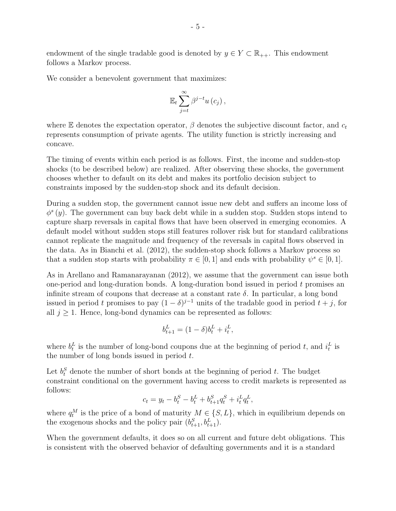endowment of the single tradable good is denoted by  $y \in Y \subset \mathbb{R}_{++}$ . This endowment follows a Markov process.

We consider a benevolent government that maximizes:

$$
\mathbb{E}_{t}\sum_{j=t}^{\infty}\beta^{j-t}u\left(c_{j}\right),\,
$$

where  $\mathbb E$  denotes the expectation operator,  $\beta$  denotes the subjective discount factor, and  $c_t$ represents consumption of private agents. The utility function is strictly increasing and concave.

The timing of events within each period is as follows. First, the income and sudden-stop shocks (to be described below) are realized. After observing these shocks, the government chooses whether to default on its debt and makes its portfolio decision subject to constraints imposed by the sudden-stop shock and its default decision.

During a sudden stop, the government cannot issue new debt and suffers an income loss of *ϕ s* (*y*). The government can buy back debt while in a sudden stop. Sudden stops intend to capture sharp reversals in capital flows that have been observed in emerging economies. A default model without sudden stops still features rollover risk but for standard calibrations cannot replicate the magnitude and frequency of the reversals in capital flows observed in the data. As in Bianchi et al. (2012), the sudden-stop shock follows a Markov process so that a sudden stop starts with probability  $\pi \in [0, 1]$  and ends with probability  $\psi^s \in [0, 1]$ .

As in Arellano and Ramanarayanan (2012), we assume that the government can issue both one-period and long-duration bonds. A long-duration bond issued in period *t* promises an infinite stream of coupons that decrease at a constant rate  $\delta$ . In particular, a long bond issued in period *t* promises to pay  $(1 - \delta)^{j-1}$  units of the tradable good in period  $t + j$ , for all  $j \geq 1$ . Hence, long-bond dynamics can be represented as follows:

$$
b_{t+1}^L = (1-\delta)b_t^L + i_t^L,
$$

where  $b_t^L$  is the number of long-bond coupons due at the beginning of period *t*, and  $i_t^L$  is the number of long bonds issued in period *t*.

Let  $b_t^S$  denote the number of short bonds at the beginning of period *t*. The budget constraint conditional on the government having access to credit markets is represented as follows:

$$
c_t = y_t - b_t^S - b_t^L + b_{t+1}^S q_t^S + i_t^L q_t^L,
$$

where  $q_t^M$  is the price of a bond of maturity  $M \in \{S, L\}$ , which in equilibrium depends on the exogenous shocks and the policy pair  $(b_{t+1}^S, b_{t+1}^L)$ .

When the government defaults, it does so on all current and future debt obligations. This is consistent with the observed behavior of defaulting governments and it is a standard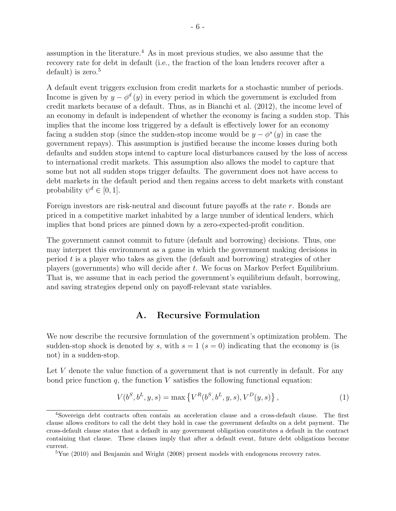assumption in the literature.<sup>4</sup> As in most previous studies, we also assume that the recovery rate for debt in default (i.e., the fraction of the loan lenders recover after a default) is zero. $5$ 

A default event triggers exclusion from credit markets for a stochastic number of periods. Income is given by  $y - \phi^d(y)$  in every period in which the government is excluded from credit markets because of a default. Thus, as in Bianchi et al. (2012), the income level of an economy in default is independent of whether the economy is facing a sudden stop. This implies that the income loss triggered by a default is effectively lower for an economy facing a sudden stop (since the sudden-stop income would be  $y - \phi^s(y)$  in case the government repays). This assumption is justified because the income losses during both defaults and sudden stops intend to capture local disturbances caused by the loss of access to international credit markets. This assumption also allows the model to capture that some but not all sudden stops trigger defaults. The government does not have access to debt markets in the default period and then regains access to debt markets with constant probability  $\psi^d \in [0, 1]$ .

Foreign investors are risk-neutral and discount future payoffs at the rate *r*. Bonds are priced in a competitive market inhabited by a large number of identical lenders, which implies that bond prices are pinned down by a zero-expected-profit condition.

The government cannot commit to future (default and borrowing) decisions. Thus, one may interpret this environment as a game in which the government making decisions in period *t* is a player who takes as given the (default and borrowing) strategies of other players (governments) who will decide after *t*. We focus on Markov Perfect Equilibrium. That is, we assume that in each period the government's equilibrium default, borrowing, and saving strategies depend only on payoff-relevant state variables.

# **A. Recursive Formulation**

We now describe the recursive formulation of the government's optimization problem. The sudden-stop shock is denoted by *s*, with  $s = 1$  ( $s = 0$ ) indicating that the economy is (is not) in a sudden-stop.

Let *V* denote the value function of a government that is not currently in default. For any bond price function  $q$ , the function  $V$  satisfies the following functional equation:

$$
V(b^S, b^L, y, s) = \max \{ V^R(b^S, b^L, y, s), V^D(y, s) \},
$$
 (1)

<sup>4</sup>Sovereign debt contracts often contain an acceleration clause and a cross-default clause. The first clause allows creditors to call the debt they hold in case the government defaults on a debt payment. The cross-default clause states that a default in any government obligation constitutes a default in the contract containing that clause. These clauses imply that after a default event, future debt obligations become current.

 $5$ Yue (2010) and Benjamin and Wright (2008) present models with endogenous recovery rates.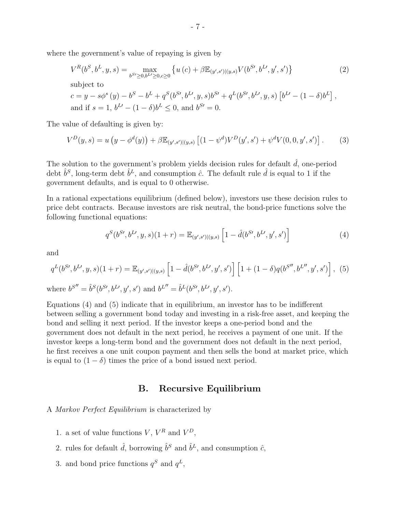where the government's value of repaying is given by

$$
V^{R}(b^{S}, b^{L}, y, s) = \max_{b^{S'} \ge 0, b^{L'} \ge 0, c \ge 0} \left\{ u(c) + \beta \mathbb{E}_{(y', s')|(y, s)} V(b^{S'}, b^{L'}, y', s') \right\}
$$
(2)  
subject to  

$$
c = y - s\phi^{s}(y) - b^{S} - b^{L} + q^{S}(b^{S'}, b^{L'}, y, s)b^{S'} + q^{L}(b^{S'}, b^{L'}, y, s) [b^{L'} - (1 - \delta)b^{L}],
$$
  
and if  $s = 1, b^{L'} - (1 - \delta)b^{L} \le 0$ , and  $b^{S'} = 0$ .

The value of defaulting is given by:

$$
V^{D}(y,s) = u\left(y - \phi^{d}(y)\right) + \beta \mathbb{E}_{(y',s')|(y,s)}\left[(1 - \psi^{d})V^{D}(y',s') + \psi^{d}V(0,0,y',s')\right].
$$
 (3)

The solution to the government's problem yields decision rules for default  $\hat{d}$ , one-period debt  $\hat{b}^S$ , long-term debt  $\hat{b}^L$ , and consumption  $\hat{c}$ . The default rule  $\hat{d}$  is equal to 1 if the government defaults, and is equal to 0 otherwise.

In a rational expectations equilibrium (defined below), investors use these decision rules to price debt contracts. Because investors are risk neutral, the bond-price functions solve the following functional equations:

$$
q^{S}(b^{S\prime}, b^{L\prime}, y, s)(1+r) = \mathbb{E}_{(y', s')|(y, s)} \left[1 - \hat{d}(b^{S\prime}, b^{L\prime}, y', s')\right]
$$
(4)

and

$$
q^{L}(b^{S'},b^{L'},y,s)(1+r) = \mathbb{E}_{(y',s')|(y,s)}\left[1-\hat{d}(b^{S'},b^{L'},y',s')\right]\left[1+(1-\delta)q(b^{S''},b^{L''},y',s')\right],\tag{5}
$$

where  $b^{S''} = \hat{b}^{S}(b^{S'}, b^{L'}, y', s')$  and  $b^{L''} = \hat{b}^{L}(b^{S'}, b^{L'}, y', s')$ .

Equations (4) and (5) indicate that in equilibrium, an investor has to be indifferent between selling a government bond today and investing in a risk-free asset, and keeping the bond and selling it next period. If the investor keeps a one-period bond and the government does not default in the next period, he receives a payment of one unit. If the investor keeps a long-term bond and the government does not default in the next period, he first receives a one unit coupon payment and then sells the bond at market price, which is equal to  $(1 - \delta)$  times the price of a bond issued next period.

# **B. Recursive Equilibrium**

#### A *Markov Perfect Equilibrium* is characterized by

- 1. a set of value functions  $V, V^R$  and  $V^D$ ,
- 2. rules for default  $\hat{d}$ , borrowing  $\hat{b}^S$  and  $\hat{b}^L$ , and consumption  $\hat{c}$ ,
- 3. and bond price functions  $q^S$  and  $q^L$ ,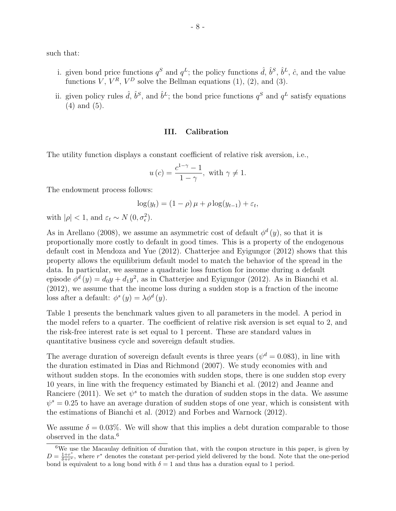such that:

- i. given bond price functions  $q^S$  and  $q^L$ ; the policy functions  $\hat{d}$ ,  $\hat{b}^S$ ,  $\hat{b}^L$ ,  $\hat{c}$ , and the value functions *V*,  $V^R$ ,  $V^D$  solve the Bellman equations (1), (2), and (3).
- ii. given policy rules  $\hat{d}$ ,  $\hat{b}^S$ , and  $\hat{b}^L$ ; the bond price functions  $q^S$  and  $q^L$  satisfy equations (4) and (5).

# **III. Calibration**

The utility function displays a constant coefficient of relative risk aversion, i.e.,

$$
u(c) = \frac{c^{1-\gamma} - 1}{1 - \gamma}, \text{ with } \gamma \neq 1.
$$

The endowment process follows:

$$
\log(y_t) = (1 - \rho)\,\mu + \rho\log(y_{t-1}) + \varepsilon_t,
$$

with  $|\rho| < 1$ , and  $\varepsilon_t \sim N(0, \sigma_{\epsilon}^2)$ .

As in Arellano (2008), we assume an asymmetric cost of default  $\phi^d(y)$ , so that it is proportionally more costly to default in good times. This is a property of the endogenous default cost in Mendoza and Yue (2012). Chatterjee and Eyigungor (2012) shows that this property allows the equilibrium default model to match the behavior of the spread in the data. In particular, we assume a quadratic loss function for income during a default episode  $\phi^d(y) = d_0y + d_1y^2$ , as in Chatterjee and Eyigungor (2012). As in Bianchi et al. (2012), we assume that the income loss during a sudden stop is a fraction of the income loss after a default:  $\phi^s(y) = \lambda \phi^d(y)$ .

Table 1 presents the benchmark values given to all parameters in the model. A period in the model refers to a quarter. The coefficient of relative risk aversion is set equal to 2, and the risk-free interest rate is set equal to 1 percent. These are standard values in quantitative business cycle and sovereign default studies.

The average duration of sovereign default events is three years ( $\psi^d = 0.083$ ), in line with the duration estimated in Dias and Richmond (2007). We study economies with and without sudden stops. In the economies with sudden stops, there is one sudden stop every 10 years, in line with the frequency estimated by Bianchi et al. (2012) and Jeanne and Ranciere (2011). We set  $\psi^s$  to match the duration of sudden stops in the data. We assume  $\psi^s = 0.25$  to have an average duration of sudden stops of one year, which is consistent with the estimations of Bianchi et al. (2012) and Forbes and Warnock (2012).

We assume  $\delta = 0.03\%$ . We will show that this implies a debt duration comparable to those observed in the data.<sup>6</sup>

 $6$ We use the Macaulay definition of duration that, with the coupon structure in this paper, is given by  $D = \frac{1+r^*}{\delta+r^*}$ , where  $r^*$  denotes the constant per-period yield delivered by the bond. Note that the one-period bond is equivalent to a long bond with  $\delta = 1$  and thus has a duration equal to 1 period.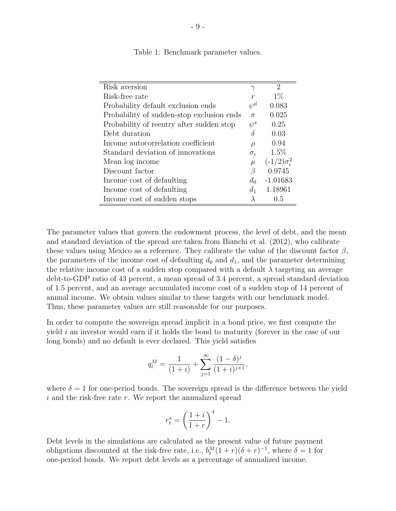| Risk aversion                             | $\gamma$            | $\overline{2}$                |
|-------------------------------------------|---------------------|-------------------------------|
| Risk-free rate                            | $\boldsymbol{r}$    | $1\%$                         |
| Probability default exclusion ends        | $\psi^d$            | 0.083                         |
| Probability of sudden-stop exclusion ends | $\pi$               | 0.025                         |
| Probability of reentry after sudden stop  | $\psi^s$            | 0.25                          |
| Debt duration                             | δ                   | 0.03                          |
| Income autocorrelation coefficient        | $\rho$              | 0.94                          |
| Standard deviation of innovations         | $\sigma_{\epsilon}$ | $1.5\%$                       |
| Mean log income                           | $\mu$               | $(-1/2)\sigma_{\epsilon}^{2}$ |
| Discount factor                           | β                   | 0.9745                        |
| Income cost of defaulting                 | $d_0$               | $-1.01683$                    |
| Income cost of defaulting                 | $d_1$               | 1.18961                       |
| Income cost of sudden stops               |                     | 0.5                           |

Table 1: Benchmark parameter values.

The parameter values that govern the endowment process, the level of debt, and the mean and standard deviation of the spread are taken from Bianchi et al. (2012), who calibrate these values using Mexico as a reference. They calibrate the value of the discount factor *β*, the parameters of the income cost of defaulting  $d_0$  and  $d_1$ , and the parameter determining the relative income cost of a sudden stop compared with a default  $\lambda$  targeting an average debt-to-GDP ratio of 43 percent, a mean spread of 3.4 percent, a spread standard deviation of 1.5 percent, and an average accumulated income cost of a sudden stop of 14 percent of annual income. We obtain values similar to these targets with our benchmark model. Thus, these parameter values are still reasonable for our purposes.

In order to compute the sovereign spread implicit in a bond price, we first compute the yield *i* an investor would earn if it holds the bond to maturity (forever in the case of our long bonds) and no default is ever declared. This yield satisfies

$$
q_t^M = \frac{1}{(1+i)} + \sum_{j=1}^{\infty} \frac{(1-\delta)^j}{(1+i)^{j+1}},
$$

where  $\delta = 1$  for one-period bonds. The sovereign spread is the difference between the yield *i* and the risk-free rate *r*. We report the annualized spread

$$
r_t^s = \left(\frac{1+i}{1+r}\right)^4 - 1.
$$

Debt levels in the simulations are calculated as the present value of future payment obligations discounted at the risk-free rate, i.e.,  $b_t^M(1+r)(\delta+r)^{-1}$ , where  $\delta = 1$  for one-period bonds. We report debt levels as a percentage of annualized income.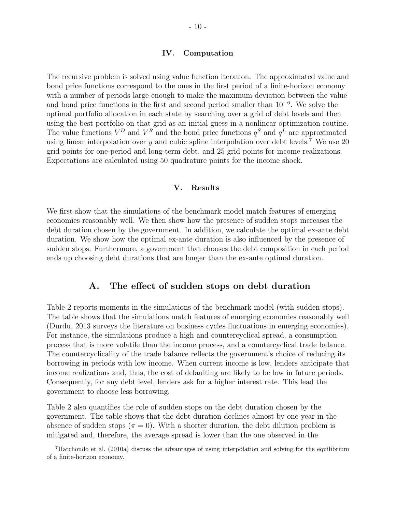#### **IV. Computation**

The recursive problem is solved using value function iteration. The approximated value and bond price functions correspond to the ones in the first period of a finite-horizon economy with a number of periods large enough to make the maximum deviation between the value and bond price functions in the first and second period smaller than 10*−*<sup>6</sup> . We solve the optimal portfolio allocation in each state by searching over a grid of debt levels and then using the best portfolio on that grid as an initial guess in a nonlinear optimization routine. The value functions  $V^D$  and  $V^R$  and the bond price functions  $q^S$  and  $q^L$  are approximated using linear interpolation over  $y$  and cubic spline interpolation over debt levels.<sup>7</sup> We use 20 grid points for one-period and long-term debt, and 25 grid points for income realizations. Expectations are calculated using 50 quadrature points for the income shock.

# **V. Results**

We first show that the simulations of the benchmark model match features of emerging economies reasonably well. We then show how the presence of sudden stops increases the debt duration chosen by the government. In addition, we calculate the optimal ex-ante debt duration. We show how the optimal ex-ante duration is also influenced by the presence of sudden stops. Furthermore, a government that chooses the debt composition in each period ends up choosing debt durations that are longer than the ex-ante optimal duration.

# **A. The effect of sudden stops on debt duration**

Table 2 reports moments in the simulations of the benchmark model (with sudden stops). The table shows that the simulations match features of emerging economies reasonably well (Durdu, 2013 surveys the literature on business cycles fluctuations in emerging economies). For instance, the simulations produce a high and countercyclical spread, a consumption process that is more volatile than the income process, and a countercyclical trade balance. The countercyclicality of the trade balance reflects the government's choice of reducing its borrowing in periods with low income. When current income is low, lenders anticipate that income realizations and, thus, the cost of defaulting are likely to be low in future periods. Consequently, for any debt level, lenders ask for a higher interest rate. This lead the government to choose less borrowing.

Table 2 also quantifies the role of sudden stops on the debt duration chosen by the government. The table shows that the debt duration declines almost by one year in the absence of sudden stops ( $\pi = 0$ ). With a shorter duration, the debt dilution problem is mitigated and, therefore, the average spread is lower than the one observed in the

<sup>7</sup>Hatchondo et al. (2010a) discuss the advantages of using interpolation and solving for the equilibrium of a finite-horizon economy.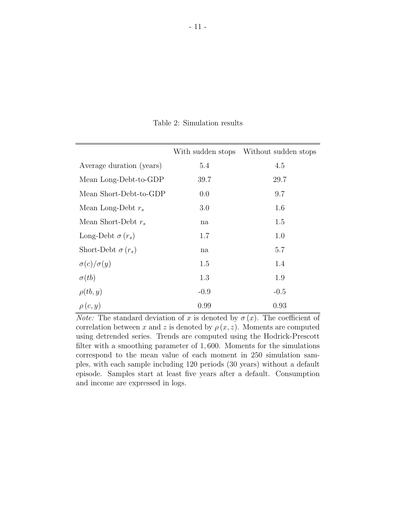|                          |        | With sudden stops Without sudden stops |
|--------------------------|--------|----------------------------------------|
| Average duration (years) | 5.4    | 4.5                                    |
| Mean Long-Debt-to-GDP    | 39.7   | 29.7                                   |
| Mean Short-Debt-to-GDP   | 0.0    | 9.7                                    |
| Mean Long-Debt $r_s$     | 3.0    | 1.6                                    |
| Mean Short-Debt $r_s$    | na     | 1.5                                    |
| Long-Debt $\sigma(r_s)$  | 1.7    | 1.0                                    |
| Short-Debt $\sigma(r_s)$ | na     | 5.7                                    |
| $\sigma(c)/\sigma(y)$    | 1.5    | 1.4                                    |
| $\sigma(tb)$             | 1.3    | 1.9                                    |
| $\rho(tb,y)$             | $-0.9$ | $-0.5$                                 |
| $\rho(c, y)$             | 0.99   | 0.93                                   |

Table 2: Simulation results

*Note:* The standard deviation of *x* is denoted by  $\sigma(x)$ . The coefficient of correlation between *x* and *z* is denoted by  $\rho(x, z)$ . Moments are computed using detrended series. Trends are computed using the Hodrick-Prescott filter with a smoothing parameter of 1*,* 600. Moments for the simulations correspond to the mean value of each moment in 250 simulation samples, with each sample including 120 periods (30 years) without a default episode. Samples start at least five years after a default. Consumption and income are expressed in logs.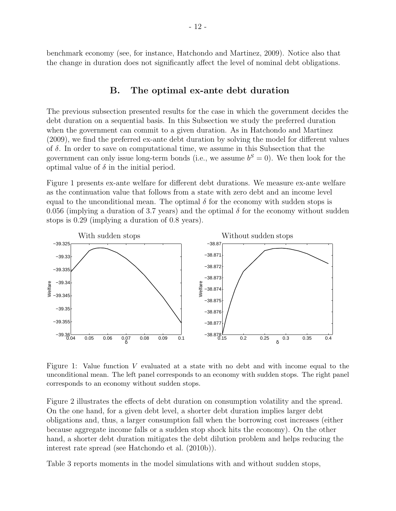benchmark economy (see, for instance, Hatchondo and Martinez, 2009). Notice also that the change in duration does not significantly affect the level of nominal debt obligations.

# **B. The optimal ex-ante debt duration**

The previous subsection presented results for the case in which the government decides the debt duration on a sequential basis. In this Subsection we study the preferred duration when the government can commit to a given duration. As in Hatchondo and Martinez (2009), we find the preferred ex-ante debt duration by solving the model for different values of *δ*. In order to save on computational time, we assume in this Subsection that the government can only issue long-term bonds (i.e., we assume  $b^S = 0$ ). We then look for the optimal value of  $\delta$  in the initial period.

Figure 1 presents ex-ante welfare for different debt durations. We measure ex-ante welfare as the continuation value that follows from a state with zero debt and an income level equal to the unconditional mean. The optimal  $\delta$  for the economy with sudden stops is 0.056 (implying a duration of 3.7 years) and the optimal  $\delta$  for the economy without sudden stops is 0.29 (implying a duration of 0.8 years).



Figure 1: Value function *V* evaluated at a state with no debt and with income equal to the unconditional mean. The left panel corresponds to an economy with sudden stops. The right panel corresponds to an economy without sudden stops.

Figure 2 illustrates the effects of debt duration on consumption volatility and the spread. On the one hand, for a given debt level, a shorter debt duration implies larger debt obligations and, thus, a larger consumption fall when the borrowing cost increases (either because aggregate income falls or a sudden stop shock hits the economy). On the other hand, a shorter debt duration mitigates the debt dilution problem and helps reducing the interest rate spread (see Hatchondo et al. (2010b)).

Table 3 reports moments in the model simulations with and without sudden stops,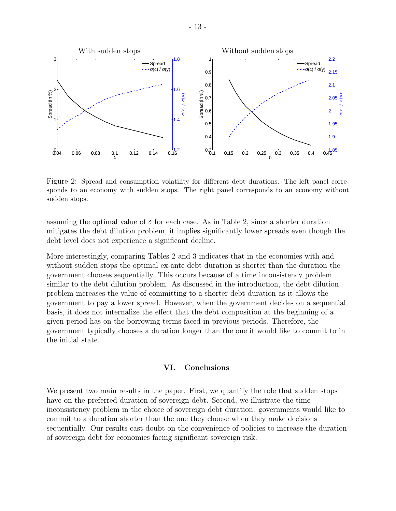

Figure 2: Spread and consumption volatility for different debt durations. The left panel corresponds to an economy with sudden stops. The right panel corresponds to an economy without sudden stops.

assuming the optimal value of  $\delta$  for each case. As in Table 2, since a shorter duration mitigates the debt dilution problem, it implies significantly lower spreads even though the debt level does not experience a significant decline.

More interestingly, comparing Tables 2 and 3 indicates that in the economies with and without sudden stops the optimal ex-ante debt duration is shorter than the duration the government chooses sequentially. This occurs because of a time inconsistency problem similar to the debt dilution problem. As discussed in the introduction, the debt dilution problem increases the value of committing to a shorter debt duration as it allows the government to pay a lower spread. However, when the government decides on a sequential basis, it does not internalize the effect that the debt composition at the beginning of a given period has on the borrowing terms faced in previous periods. Therefore, the government typically chooses a duration longer than the one it would like to commit to in the initial state.

#### **VI. Conclusions**

We present two main results in the paper. First, we quantify the role that sudden stops have on the preferred duration of sovereign debt. Second, we illustrate the time inconsistency problem in the choice of sovereign debt duration: governments would like to commit to a duration shorter than the one they choose when they make decisions sequentially. Our results cast doubt on the convenience of policies to increase the duration of sovereign debt for economies facing significant sovereign risk.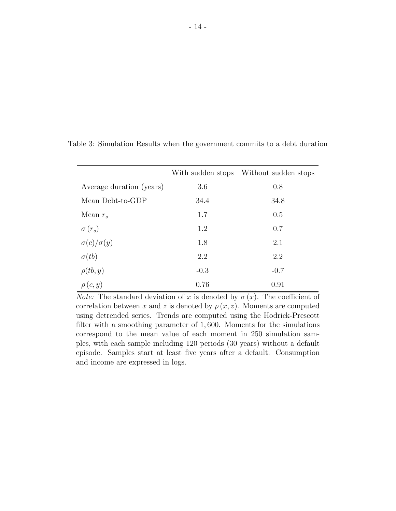|                          |        | With sudden stops Without sudden stops |
|--------------------------|--------|----------------------------------------|
| Average duration (years) | 3.6    | 0.8                                    |
| Mean Debt-to-GDP         | 34.4   | 34.8                                   |
| Mean $r_s$               | 1.7    | 0.5                                    |
| $\sigma(r_s)$            | 1.2    | 0.7                                    |
| $\sigma(c)/\sigma(y)$    | 1.8    | 2.1                                    |
| $\sigma(tb)$             | 2.2    | 2.2                                    |
| $\rho(tb,y)$             | $-0.3$ | $-0.7$                                 |
| $\rho(c, y)$             | 0.76   | 0.91                                   |

Table 3: Simulation Results when the government commits to a debt duration

*Note:* The standard deviation of *x* is denoted by  $\sigma(x)$ . The coefficient of correlation between *x* and *z* is denoted by  $\rho(x, z)$ . Moments are computed using detrended series. Trends are computed using the Hodrick-Prescott filter with a smoothing parameter of 1*,* 600. Moments for the simulations correspond to the mean value of each moment in 250 simulation samples, with each sample including 120 periods (30 years) without a default episode. Samples start at least five years after a default. Consumption and income are expressed in logs.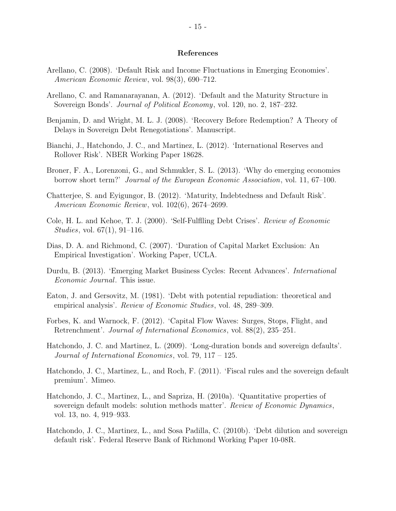#### **References**

- Arellano, C. (2008). 'Default Risk and Income Fluctuations in Emerging Economies'. *American Economic Review*, vol. 98(3), 690–712.
- Arellano, C. and Ramanarayanan, A. (2012). 'Default and the Maturity Structure in Sovereign Bonds'. *Journal of Political Economy*, vol. 120, no. 2, 187–232.
- Benjamin, D. and Wright, M. L. J. (2008). 'Recovery Before Redemption? A Theory of Delays in Sovereign Debt Renegotiations'. Manuscript.
- Bianchi, J., Hatchondo, J. C., and Martinez, L. (2012). 'International Reserves and Rollover Risk'. NBER Working Paper 18628.
- Broner, F. A., Lorenzoni, G., and Schmukler, S. L. (2013). 'Why do emerging economies borrow short term?' *Journal of the European Economic Association*, vol. 11, 67–100.
- Chatterjee, S. and Eyigungor, B. (2012). 'Maturity, Indebtedness and Default Risk'. *American Economic Review*, vol. 102(6), 2674–2699.
- Cole, H. L. and Kehoe, T. J. (2000). 'Self-Fulflling Debt Crises'. *Review of Economic Studies*, vol. 67(1), 91–116.
- Dias, D. A. and Richmond, C. (2007). 'Duration of Capital Market Exclusion: An Empirical Investigation'. Working Paper, UCLA.
- Durdu, B. (2013). 'Emerging Market Business Cycles: Recent Advances'. *International Economic Journal*. This issue.
- Eaton, J. and Gersovitz, M. (1981). 'Debt with potential repudiation: theoretical and empirical analysis'. *Review of Economic Studies*, vol. 48, 289–309.
- Forbes, K. and Warnock, F. (2012). 'Capital Flow Waves: Surges, Stops, Flight, and Retrenchment'. *Journal of International Economics*, vol. 88(2), 235–251.
- Hatchondo, J. C. and Martinez, L. (2009). 'Long-duration bonds and sovereign defaults'. *Journal of International Economics*, vol. 79, 117 – 125.
- Hatchondo, J. C., Martinez, L., and Roch, F. (2011). 'Fiscal rules and the sovereign default premium'. Mimeo.
- Hatchondo, J. C., Martinez, L., and Sapriza, H. (2010a). 'Quantitative properties of sovereign default models: solution methods matter'. *Review of Economic Dynamics*, vol. 13, no. 4, 919–933.
- Hatchondo, J. C., Martinez, L., and Sosa Padilla, C. (2010b). 'Debt dilution and sovereign default risk'. Federal Reserve Bank of Richmond Working Paper 10-08R.